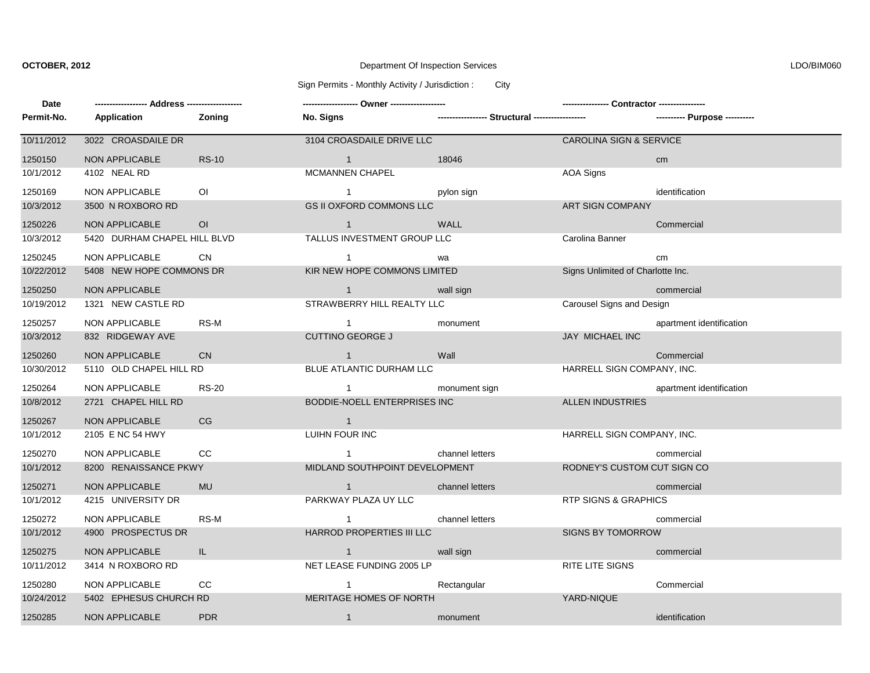## Sign Permits - Monthly Activity / Jurisdiction : City

LDO/BIM060

| Date       |                              |                | ------------------ Owner ------------------                                                                                                                                                                                    |                 |                                    |                               |
|------------|------------------------------|----------------|--------------------------------------------------------------------------------------------------------------------------------------------------------------------------------------------------------------------------------|-----------------|------------------------------------|-------------------------------|
| Permit-No. | Application                  | Zoning         | No. Signs                                                                                                                                                                                                                      |                 |                                    | ---------- Purpose ---------- |
| 10/11/2012 | 3022 CROASDAILE DR           |                | 3104 CROASDAILE DRIVE LLC                                                                                                                                                                                                      |                 | <b>CAROLINA SIGN &amp; SERVICE</b> |                               |
| 1250150    | NON APPLICABLE               | <b>RS-10</b>   | $\sim$ 1 and $\sim$ 1 and $\sim$                                                                                                                                                                                               | 18046           |                                    | cm                            |
| 10/1/2012  | 4102 NEAL RD                 |                | MCMANNEN CHAPEL                                                                                                                                                                                                                |                 | <b>AOA Signs</b>                   |                               |
| 1250169    | NON APPLICABLE               | O <sub>1</sub> | $\mathbf 1$                                                                                                                                                                                                                    | pylon sign      |                                    | identification                |
| 10/3/2012  | 3500 N ROXBORO RD            |                | <b>GS II OXFORD COMMONS LLC</b>                                                                                                                                                                                                |                 | ART SIGN COMPANY                   |                               |
| 1250226    | NON APPLICABLE               | <sup>O</sup>   | $\sim$ 1 and $\sim$ 1 and $\sim$                                                                                                                                                                                               | WALL            |                                    | Commercial                    |
| 10/3/2012  | 5420 DURHAM CHAPEL HILL BLVD |                | TALLUS INVESTMENT GROUP LLC                                                                                                                                                                                                    |                 | Carolina Banner                    |                               |
| 1250245    | <b>NON APPLICABLE</b>        | <b>CN</b>      | $\sim$ 1                                                                                                                                                                                                                       | wa              |                                    | cm                            |
| 10/22/2012 | 5408 NEW HOPE COMMONS DR     |                | KIR NEW HOPE COMMONS LIMITED                                                                                                                                                                                                   |                 | Signs Unlimited of Charlotte Inc.  |                               |
| 1250250    | <b>NON APPLICABLE</b>        |                |                                                                                                                                                                                                                                | wall sign       |                                    | commercial                    |
| 10/19/2012 | 1321 NEW CASTLE RD           |                | STRAWBERRY HILL REALTY LLC                                                                                                                                                                                                     |                 | Carousel Signs and Design          |                               |
| 1250257    | NON APPLICABLE               | RS-M           | $\sim$ 1                                                                                                                                                                                                                       | monument        |                                    | apartment identification      |
| 10/3/2012  | 832 RIDGEWAY AVE             |                | <b>CUTTINO GEORGE J</b>                                                                                                                                                                                                        |                 | JAY MICHAEL INC                    |                               |
| 1250260    | <b>NON APPLICABLE</b>        | <b>CN</b>      | $\sim$ 1 and 2 and 2 and 2 and 2 and 2 and 2 and 2 and 2 and 2 and 2 and 2 and 2 and 2 and 2 and 2 and 2 and 2 and 2 and 2 and 2 and 2 and 2 and 2 and 2 and 2 and 2 and 2 and 2 and 2 and 2 and 2 and 2 and 2 and 2 and 2 and | Wall            |                                    | Commercial                    |
| 10/30/2012 | 5110 OLD CHAPEL HILL RD      |                | BLUE ATLANTIC DURHAM LLC                                                                                                                                                                                                       |                 | HARRELL SIGN COMPANY, INC.         |                               |
| 1250264    | NON APPLICABLE               | <b>RS-20</b>   | $\mathbf 1$                                                                                                                                                                                                                    | monument sign   |                                    | apartment identification      |
| 10/8/2012  | 2721 CHAPEL HILL RD          |                | BODDIE-NOELL ENTERPRISES INC                                                                                                                                                                                                   |                 | ALLEN INDUSTRIES                   |                               |
| 1250267    | NON APPLICABLE               | CG             | $\blacksquare$ 1                                                                                                                                                                                                               |                 |                                    |                               |
| 10/1/2012  | 2105 E NC 54 HWY             |                | LUIHN FOUR INC                                                                                                                                                                                                                 |                 | HARRELL SIGN COMPANY, INC.         |                               |
| 1250270    | NON APPLICABLE               | CC             | $\mathbf{1}$                                                                                                                                                                                                                   | channel letters |                                    | commercial                    |
| 10/1/2012  | 8200 RENAISSANCE PKWY        |                | MIDLAND SOUTHPOINT DEVELOPMENT                                                                                                                                                                                                 |                 | RODNEY'S CUSTOM CUT SIGN CO        |                               |
| 1250271    | <b>NON APPLICABLE</b>        | <b>MU</b>      | $\overline{1}$                                                                                                                                                                                                                 | channel letters |                                    | commercial                    |
| 10/1/2012  | 4215 UNIVERSITY DR           |                | PARKWAY PLAZA UY LLC                                                                                                                                                                                                           |                 | <b>RTP SIGNS &amp; GRAPHICS</b>    |                               |
| 1250272    | NON APPLICABLE               | RS-M           |                                                                                                                                                                                                                                | channel letters |                                    | commercial                    |
| 10/1/2012  | 4900 PROSPECTUS DR           |                | HARROD PROPERTIES III LLC                                                                                                                                                                                                      |                 | <b>SIGNS BY TOMORROW</b>           |                               |
| 1250275    | NON APPLICABLE               | IL.            | $\sim$ $\sim$ $\sim$ $\sim$ $\sim$ $\sim$ $\sim$                                                                                                                                                                               | wall sign       |                                    | commercial                    |
| 10/11/2012 | 3414 N ROXBORO RD            |                | NET LEASE FUNDING 2005 LP                                                                                                                                                                                                      |                 | RITE LITE SIGNS                    |                               |
| 1250280    | <b>NON APPLICABLE</b>        | CC.            | $\mathbf{1}$                                                                                                                                                                                                                   | Rectangular     |                                    | Commercial                    |
| 10/24/2012 | 5402 EPHESUS CHURCH RD       |                | MERITAGE HOMES OF NORTH                                                                                                                                                                                                        |                 | YARD-NIQUE                         |                               |
| 1250285    | <b>NON APPLICABLE</b>        | <b>PDR</b>     | $\overline{1}$                                                                                                                                                                                                                 | monument        |                                    | identification                |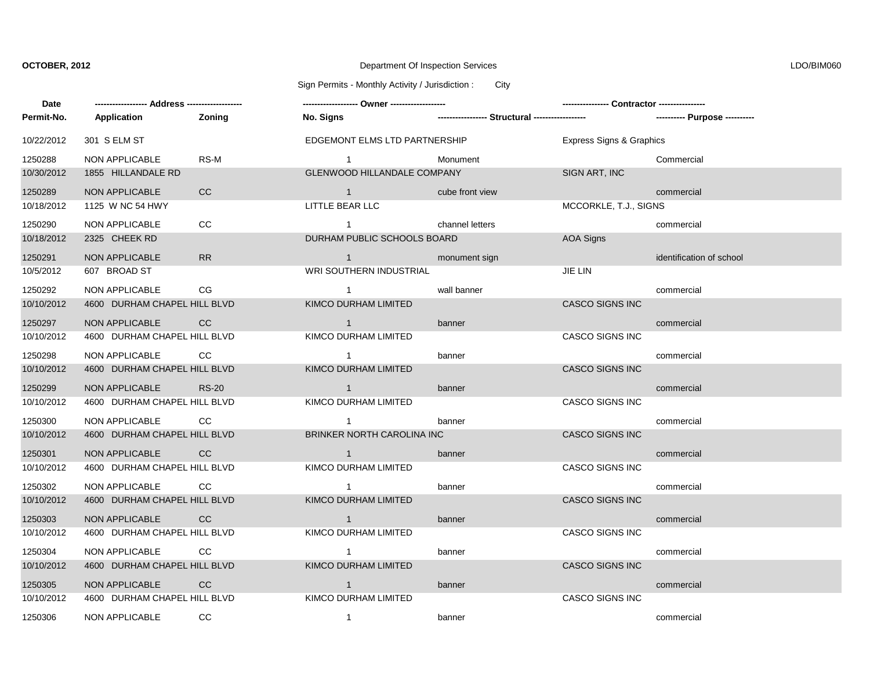Sign Permits - Monthly Activity / Jurisdiction : City

| Date       |                              |              |                               |                                                 |                          |                               |
|------------|------------------------------|--------------|-------------------------------|-------------------------------------------------|--------------------------|-------------------------------|
| Permit-No. | Application                  | Zoning       | <b>No. Signs</b>              | ----------------- Structural ------------------ |                          | ---------- Purpose ---------- |
| 10/22/2012 | 301 S ELM ST                 |              | EDGEMONT ELMS LTD PARTNERSHIP |                                                 | Express Signs & Graphics |                               |
| 1250288    | <b>NON APPLICABLE</b>        | RS-M         | $\sim$ 1                      | Monument                                        |                          | Commercial                    |
| 10/30/2012 | 1855 HILLANDALE RD           |              | GLENWOOD HILLANDALE COMPANY   |                                                 | SIGN ART, INC            |                               |
| 1250289    | <b>NON APPLICABLE</b>        | CC           | $\overline{1}$                | cube front view                                 |                          | commercial                    |
| 10/18/2012 | 1125 W NC 54 HWY             |              | LITTLE BEAR LLC               |                                                 | MCCORKLE, T.J., SIGNS    |                               |
| 1250290    | <b>NON APPLICABLE</b>        | CC.          | $\overline{1}$                | channel letters                                 |                          | commercial                    |
| 10/18/2012 | 2325 CHEEK RD                |              | DURHAM PUBLIC SCHOOLS BOARD   |                                                 | AOA Signs                |                               |
| 1250291    | NON APPLICABLE               | <b>RR</b>    | 1 monument sign               |                                                 |                          | identification of school      |
| 10/5/2012  | 607 BROAD ST                 |              | WRI SOUTHERN INDUSTRIAL       |                                                 | JIE LIN                  |                               |
| 1250292    | <b>NON APPLICABLE</b>        | CG           | $\overline{1}$                | wall banner                                     |                          | commercial                    |
| 10/10/2012 | 4600 DURHAM CHAPEL HILL BLVD |              | KIMCO DURHAM LIMITED          |                                                 | <b>CASCO SIGNS INC</b>   |                               |
| 1250297    | NON APPLICABLE               | CC           | $\overline{1}$                | banner                                          |                          | commercial                    |
| 10/10/2012 | 4600 DURHAM CHAPEL HILL BLVD |              | KIMCO DURHAM LIMITED          |                                                 | CASCO SIGNS INC          |                               |
| 1250298    | NON APPLICABLE               | CC           | $\overline{1}$                | banner                                          |                          | commercial                    |
| 10/10/2012 | 4600 DURHAM CHAPEL HILL BLVD |              | KIMCO DURHAM LIMITED          |                                                 | <b>CASCO SIGNS INC</b>   |                               |
| 1250299    | NON APPLICABLE               | <b>RS-20</b> | $\overline{1}$                | banner                                          |                          | commercial                    |
| 10/10/2012 | 4600 DURHAM CHAPEL HILL BLVD |              | KIMCO DURHAM LIMITED          |                                                 | CASCO SIGNS INC          |                               |
| 1250300    | NON APPLICABLE               | CC           | $\overline{1}$                | banner                                          |                          | commercial                    |
| 10/10/2012 | 4600 DURHAM CHAPEL HILL BLVD |              | BRINKER NORTH CAROLINA INC    |                                                 | <b>CASCO SIGNS INC</b>   |                               |
| 1250301    | NON APPLICABLE               | CC           | $\sim$ 1                      | banner                                          |                          | commercial                    |
| 10/10/2012 | 4600 DURHAM CHAPEL HILL BLVD |              | KIMCO DURHAM LIMITED          |                                                 | CASCO SIGNS INC          |                               |
| 1250302    | NON APPLICABLE               | CC.          | $\overline{1}$                | banner                                          |                          | commercial                    |
| 10/10/2012 | 4600 DURHAM CHAPEL HILL BLVD |              | KIMCO DURHAM LIMITED          |                                                 | <b>CASCO SIGNS INC</b>   |                               |
| 1250303    | NON APPLICABLE               | CC           | $\overline{1}$                | banner                                          |                          | commercial                    |
| 10/10/2012 | 4600 DURHAM CHAPEL HILL BLVD |              | KIMCO DURHAM LIMITED          |                                                 | CASCO SIGNS INC          |                               |
| 1250304    | NON APPLICABLE               | CC           | $\sim$ 1                      | banner                                          |                          | commercial                    |
| 10/10/2012 | 4600 DURHAM CHAPEL HILL BLVD |              | KIMCO DURHAM LIMITED          |                                                 | <b>CASCO SIGNS INC</b>   |                               |
| 1250305    | <b>NON APPLICABLE</b>        | CC           | $\overline{1}$                | banner                                          |                          | commercial                    |
| 10/10/2012 | 4600 DURHAM CHAPEL HILL BLVD |              | KIMCO DURHAM LIMITED          |                                                 | CASCO SIGNS INC          |                               |
| 1250306    | NON APPLICABLE               | CC           | $\overline{1}$                | banner                                          |                          | commercial                    |

LDO/BIM060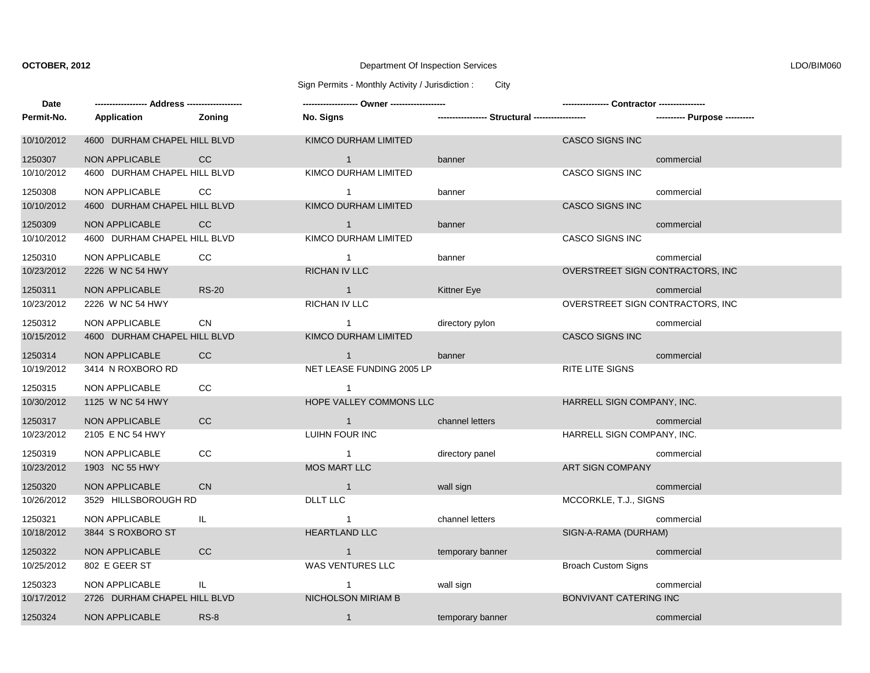Sign Permits - Monthly Activity / Jurisdiction : City

| Date       |                              |              |                            |                                                 |                                  |                                  |
|------------|------------------------------|--------------|----------------------------|-------------------------------------------------|----------------------------------|----------------------------------|
| Permit-No. | Application                  | Zoning       | <b>No. Signs</b>           | ----------------- Structural ------------------ |                                  | ---------- Purpose ----------    |
| 10/10/2012 | 4600 DURHAM CHAPEL HILL BLVD |              | KIMCO DURHAM LIMITED       |                                                 | <b>CASCO SIGNS INC</b>           |                                  |
| 1250307    | NON APPLICABLE               | CC           | $\overline{1}$             | banner                                          |                                  | commercial                       |
| 10/10/2012 | 4600 DURHAM CHAPEL HILL BLVD |              | KIMCO DURHAM LIMITED       |                                                 | <b>CASCO SIGNS INC</b>           |                                  |
| 1250308    | NON APPLICABLE               | CC.          | $\overline{1}$             | banner                                          |                                  | commercial                       |
| 10/10/2012 | 4600 DURHAM CHAPEL HILL BLVD |              | KIMCO DURHAM LIMITED       |                                                 | <b>CASCO SIGNS INC</b>           |                                  |
| 1250309    | NON APPLICABLE               | CC           | $\overline{1}$             | banner                                          |                                  | commercial                       |
| 10/10/2012 | 4600 DURHAM CHAPEL HILL BLVD |              | KIMCO DURHAM LIMITED       |                                                 | CASCO SIGNS INC                  |                                  |
| 1250310    | NON APPLICABLE               | cc           | $\overline{1}$             | banner                                          |                                  | commercial                       |
| 10/23/2012 | 2226 W NC 54 HWY             |              | <b>RICHAN IV LLC</b>       |                                                 |                                  | OVERSTREET SIGN CONTRACTORS, INC |
| 1250311    | NON APPLICABLE               | <b>RS-20</b> | $\sim$ $\sim$ 1            | Kittner Eye                                     |                                  | commercial                       |
| 10/23/2012 | 2226 W NC 54 HWY             |              | RICHAN IV LLC              |                                                 | OVERSTREET SIGN CONTRACTORS, INC |                                  |
| 1250312    | NON APPLICABLE               | CN.          | $\sim$ 1                   | directory pylon                                 |                                  | commercial                       |
| 10/15/2012 | 4600 DURHAM CHAPEL HILL BLVD |              | KIMCO DURHAM LIMITED       |                                                 | <b>CASCO SIGNS INC</b>           |                                  |
| 1250314    | NON APPLICABLE               | cc           | $\overline{1}$             | banner                                          |                                  | commercial                       |
| 10/19/2012 | 3414 N ROXBORO RD            |              | NET LEASE FUNDING 2005 LP  |                                                 | <b>RITE LITE SIGNS</b>           |                                  |
| 1250315    | <b>NON APPLICABLE</b>        | <b>CC</b>    | $\overline{1}$             |                                                 |                                  |                                  |
| 10/30/2012 | 1125 W NC 54 HWY             |              | HOPE VALLEY COMMONS LLC    |                                                 | HARRELL SIGN COMPANY, INC.       |                                  |
| 1250317    | NON APPLICABLE               | CC           | $\overline{1}$             | channel letters                                 |                                  | commercial                       |
| 10/23/2012 | 2105 E NC 54 HWY             |              | LUIHN FOUR INC             |                                                 | HARRELL SIGN COMPANY, INC.       |                                  |
| 1250319    | NON APPLICABLE               | CC           | $\sim$ 1                   | directory panel                                 |                                  | commercial                       |
| 10/23/2012 | 1903 NC 55 HWY               |              | <b>MOS MART LLC</b>        |                                                 | <b>ART SIGN COMPANY</b>          |                                  |
| 1250320    | <b>NON APPLICABLE</b>        | CN           | $\overline{\phantom{0}}$ 1 | wall sign                                       |                                  | commercial                       |
| 10/26/2012 | 3529 HILLSBOROUGH RD         |              | DLLT LLC                   |                                                 | MCCORKLE, T.J., SIGNS            |                                  |
| 1250321    | NON APPLICABLE               | IL.          | $\sim$ 1                   | channel letters                                 |                                  | commercial                       |
| 10/18/2012 | 3844 S ROXBORO ST            |              | <b>HEARTLAND LLC</b>       |                                                 | SIGN-A-RAMA (DURHAM)             |                                  |
| 1250322    | NON APPLICABLE               | CC           | $\overline{1}$             | temporary banner                                |                                  | commercial                       |
| 10/25/2012 | 802 E GEER ST                |              | WAS VENTURES LLC           |                                                 | <b>Broach Custom Signs</b>       |                                  |
| 1250323    | NON APPLICABLE               | IL.          | $\overline{1}$             | wall sign                                       |                                  | commercial                       |
| 10/17/2012 | 2726 DURHAM CHAPEL HILL BLVD |              | <b>NICHOLSON MIRIAM B</b>  |                                                 | BONVIVANT CATERING INC           |                                  |
| 1250324    | <b>NON APPLICABLE</b>        | $RS-8$       | $\overline{1}$             | temporary banner                                |                                  | commercial                       |

### LDO/BIM060